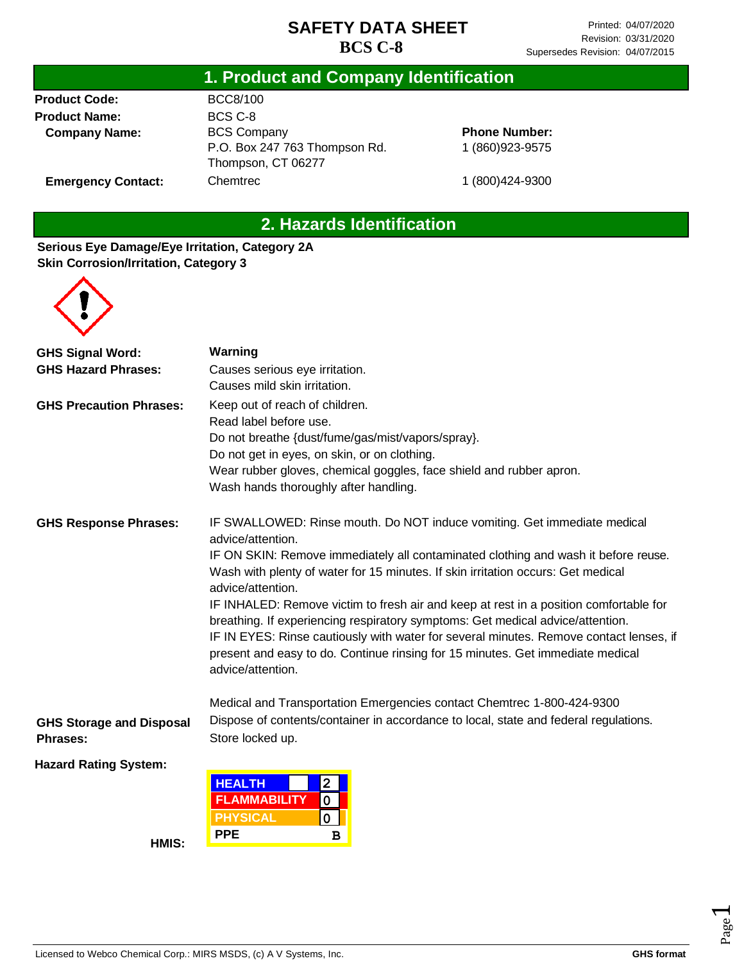### **1. Product and Company Identification**

**Product Code: Product Name: Company Name:**

**Emergency Contact:**

BCC8/100 BCS C-8 BCS Company P.O. Box 247 763 Thompson Rd. Thompson, CT 06277 **Chemtrec** 

**Phone Number:** 1 (860)923-9575

1 (800)424-9300

# **2. Hazards Identification**

#### **Serious Eye Damage/Eye Irritation, Category 2A Skin Corrosion/Irritation, Category 3**



| <b>GHS Signal Word:</b>         | Warning                                                                                                                                                                                                                                                           |  |  |  |  |  |
|---------------------------------|-------------------------------------------------------------------------------------------------------------------------------------------------------------------------------------------------------------------------------------------------------------------|--|--|--|--|--|
| <b>GHS Hazard Phrases:</b>      | Causes serious eye irritation.                                                                                                                                                                                                                                    |  |  |  |  |  |
|                                 | Causes mild skin irritation.                                                                                                                                                                                                                                      |  |  |  |  |  |
| <b>GHS Precaution Phrases:</b>  | Keep out of reach of children.                                                                                                                                                                                                                                    |  |  |  |  |  |
|                                 | Read label before use.                                                                                                                                                                                                                                            |  |  |  |  |  |
|                                 | Do not breathe {dust/fume/gas/mist/vapors/spray}.                                                                                                                                                                                                                 |  |  |  |  |  |
|                                 | Do not get in eyes, on skin, or on clothing.                                                                                                                                                                                                                      |  |  |  |  |  |
|                                 | Wear rubber gloves, chemical goggles, face shield and rubber apron.                                                                                                                                                                                               |  |  |  |  |  |
|                                 | Wash hands thoroughly after handling.                                                                                                                                                                                                                             |  |  |  |  |  |
| <b>GHS Response Phrases:</b>    | IF SWALLOWED: Rinse mouth. Do NOT induce vomiting. Get immediate medical<br>advice/attention.                                                                                                                                                                     |  |  |  |  |  |
|                                 | IF ON SKIN: Remove immediately all contaminated clothing and wash it before reuse.<br>Wash with plenty of water for 15 minutes. If skin irritation occurs: Get medical<br>advice/attention.                                                                       |  |  |  |  |  |
|                                 | IF INHALED: Remove victim to fresh air and keep at rest in a position comfortable for<br>breathing. If experiencing respiratory symptoms: Get medical advice/attention.<br>IF IN EYES: Rinse cautiously with water for several minutes. Remove contact lenses, if |  |  |  |  |  |
|                                 | present and easy to do. Continue rinsing for 15 minutes. Get immediate medical<br>advice/attention.                                                                                                                                                               |  |  |  |  |  |
|                                 | Medical and Transportation Emergencies contact Chemtrec 1-800-424-9300                                                                                                                                                                                            |  |  |  |  |  |
| <b>GHS Storage and Disposal</b> | Dispose of contents/container in accordance to local, state and federal regulations.                                                                                                                                                                              |  |  |  |  |  |
| <b>Phrases:</b>                 | Store locked up.                                                                                                                                                                                                                                                  |  |  |  |  |  |
| <b>Hazard Rating System:</b>    |                                                                                                                                                                                                                                                                   |  |  |  |  |  |
|                                 | $\overline{2}$<br><b>HEALTH</b>                                                                                                                                                                                                                                   |  |  |  |  |  |
|                                 | <b>FLAMMABILITY</b><br>0<br><b>PHYSICAL</b><br>$\pmb{0}$                                                                                                                                                                                                          |  |  |  |  |  |
|                                 | <b>PPE</b><br>B                                                                                                                                                                                                                                                   |  |  |  |  |  |
| <b>TIMIC</b>                    |                                                                                                                                                                                                                                                                   |  |  |  |  |  |

**HMIS:**

Licensed to Webco Chemical Corp.: MIRS MSDS, (c) A V Systems, Inc. **GHS** format **GHS** format

Page  $\overline{\phantom{0}}$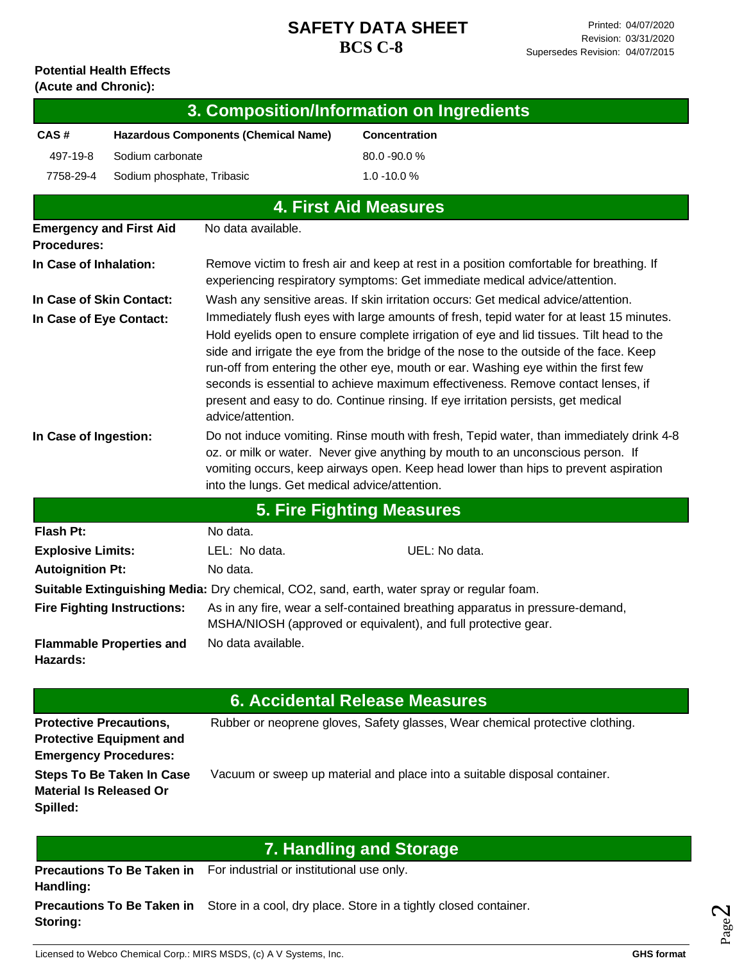#### **Potential Health Effects (Acute and Chronic):**

|                                            |                                                                 |                                                                                                                                                                                                                                                                                                                    | 3. Composition/Information on Ingredients                                                                                                                                                                                                                                                                                                                                                                                                                                                                                                      |  |  |  |  |  |
|--------------------------------------------|-----------------------------------------------------------------|--------------------------------------------------------------------------------------------------------------------------------------------------------------------------------------------------------------------------------------------------------------------------------------------------------------------|------------------------------------------------------------------------------------------------------------------------------------------------------------------------------------------------------------------------------------------------------------------------------------------------------------------------------------------------------------------------------------------------------------------------------------------------------------------------------------------------------------------------------------------------|--|--|--|--|--|
| CAS#                                       |                                                                 | <b>Hazardous Components (Chemical Name)</b>                                                                                                                                                                                                                                                                        | <b>Concentration</b>                                                                                                                                                                                                                                                                                                                                                                                                                                                                                                                           |  |  |  |  |  |
| 497-19-8                                   | Sodium carbonate                                                |                                                                                                                                                                                                                                                                                                                    | 80.0 - 90.0 %                                                                                                                                                                                                                                                                                                                                                                                                                                                                                                                                  |  |  |  |  |  |
| 7758-29-4                                  | Sodium phosphate, Tribasic                                      |                                                                                                                                                                                                                                                                                                                    | $1.0 - 10.0 %$                                                                                                                                                                                                                                                                                                                                                                                                                                                                                                                                 |  |  |  |  |  |
|                                            |                                                                 |                                                                                                                                                                                                                                                                                                                    | <b>4. First Aid Measures</b>                                                                                                                                                                                                                                                                                                                                                                                                                                                                                                                   |  |  |  |  |  |
| <b>Procedures:</b>                         | <b>Emergency and First Aid</b>                                  | No data available.                                                                                                                                                                                                                                                                                                 |                                                                                                                                                                                                                                                                                                                                                                                                                                                                                                                                                |  |  |  |  |  |
| In Case of Inhalation:                     |                                                                 |                                                                                                                                                                                                                                                                                                                    | Remove victim to fresh air and keep at rest in a position comfortable for breathing. If<br>experiencing respiratory symptoms: Get immediate medical advice/attention.                                                                                                                                                                                                                                                                                                                                                                          |  |  |  |  |  |
| In Case of Skin Contact:                   |                                                                 | Wash any sensitive areas. If skin irritation occurs: Get medical advice/attention.                                                                                                                                                                                                                                 |                                                                                                                                                                                                                                                                                                                                                                                                                                                                                                                                                |  |  |  |  |  |
| In Case of Eye Contact:                    |                                                                 | advice/attention.                                                                                                                                                                                                                                                                                                  | Immediately flush eyes with large amounts of fresh, tepid water for at least 15 minutes.<br>Hold eyelids open to ensure complete irrigation of eye and lid tissues. Tilt head to the<br>side and irrigate the eye from the bridge of the nose to the outside of the face. Keep<br>run-off from entering the other eye, mouth or ear. Washing eye within the first few<br>seconds is essential to achieve maximum effectiveness. Remove contact lenses, if<br>present and easy to do. Continue rinsing. If eye irritation persists, get medical |  |  |  |  |  |
| In Case of Ingestion:                      |                                                                 | Do not induce vomiting. Rinse mouth with fresh, Tepid water, than immediately drink 4-8<br>oz. or milk or water. Never give anything by mouth to an unconscious person. If<br>vomiting occurs, keep airways open. Keep head lower than hips to prevent aspiration<br>into the lungs. Get medical advice/attention. |                                                                                                                                                                                                                                                                                                                                                                                                                                                                                                                                                |  |  |  |  |  |
|                                            |                                                                 |                                                                                                                                                                                                                                                                                                                    | <b>5. Fire Fighting Measures</b>                                                                                                                                                                                                                                                                                                                                                                                                                                                                                                               |  |  |  |  |  |
| <b>Flash Pt:</b>                           |                                                                 | No data.                                                                                                                                                                                                                                                                                                           |                                                                                                                                                                                                                                                                                                                                                                                                                                                                                                                                                |  |  |  |  |  |
| <b>Explosive Limits:</b>                   |                                                                 | LEL: No data.                                                                                                                                                                                                                                                                                                      | UEL: No data.                                                                                                                                                                                                                                                                                                                                                                                                                                                                                                                                  |  |  |  |  |  |
| <b>Autoignition Pt:</b>                    |                                                                 | No data.                                                                                                                                                                                                                                                                                                           |                                                                                                                                                                                                                                                                                                                                                                                                                                                                                                                                                |  |  |  |  |  |
|                                            |                                                                 |                                                                                                                                                                                                                                                                                                                    | <b>Suitable Extinguishing Media:</b> Dry chemical, CO2, sand, earth, water spray or regular foam.                                                                                                                                                                                                                                                                                                                                                                                                                                              |  |  |  |  |  |
| <b>Fire Fighting Instructions:</b>         |                                                                 | As in any fire, wear a self-contained breathing apparatus in pressure-demand,<br>MSHA/NIOSH (approved or equivalent), and full protective gear.                                                                                                                                                                    |                                                                                                                                                                                                                                                                                                                                                                                                                                                                                                                                                |  |  |  |  |  |
| Hazards:                                   | <b>Flammable Properties and</b>                                 | No data available.                                                                                                                                                                                                                                                                                                 |                                                                                                                                                                                                                                                                                                                                                                                                                                                                                                                                                |  |  |  |  |  |
|                                            |                                                                 |                                                                                                                                                                                                                                                                                                                    | 6. Accidental Release Measures                                                                                                                                                                                                                                                                                                                                                                                                                                                                                                                 |  |  |  |  |  |
| <b>Protective Precautions,</b>             | <b>Protective Equipment and</b><br><b>Emergency Procedures:</b> |                                                                                                                                                                                                                                                                                                                    | Rubber or neoprene gloves, Safety glasses, Wear chemical protective clothing.                                                                                                                                                                                                                                                                                                                                                                                                                                                                  |  |  |  |  |  |
| <b>Material Is Released Or</b><br>Spilled: | <b>Steps To Be Taken In Case</b>                                |                                                                                                                                                                                                                                                                                                                    | Vacuum or sweep up material and place into a suitable disposal container.                                                                                                                                                                                                                                                                                                                                                                                                                                                                      |  |  |  |  |  |
|                                            |                                                                 |                                                                                                                                                                                                                                                                                                                    | <b>7. Handling and Storage</b>                                                                                                                                                                                                                                                                                                                                                                                                                                                                                                                 |  |  |  |  |  |
| Handling:                                  | <b>Precautions To Be Taken in</b>                               | For industrial or institutional use only.                                                                                                                                                                                                                                                                          |                                                                                                                                                                                                                                                                                                                                                                                                                                                                                                                                                |  |  |  |  |  |
| Storing:                                   | <b>Precautions To Be Taken in</b>                               |                                                                                                                                                                                                                                                                                                                    | Store in a cool, dry place. Store in a tightly closed container.                                                                                                                                                                                                                                                                                                                                                                                                                                                                               |  |  |  |  |  |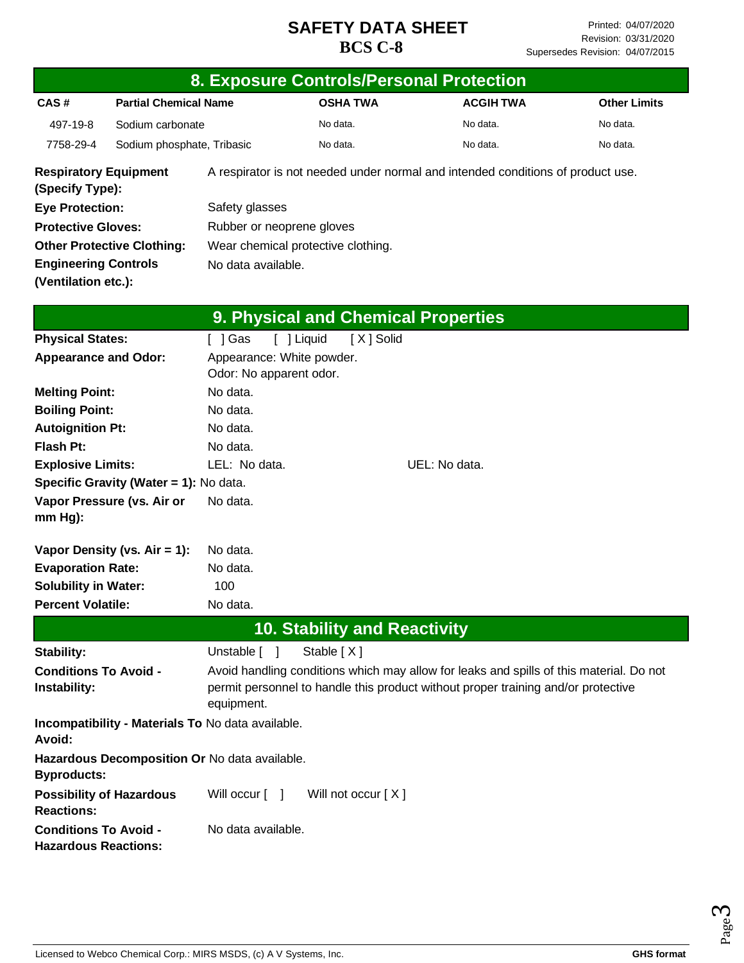|                                                             | 8. Exposure Controls/Personal Protection          |                                                                 |  |                                     |                                                                                         |  |                     |  |
|-------------------------------------------------------------|---------------------------------------------------|-----------------------------------------------------------------|--|-------------------------------------|-----------------------------------------------------------------------------------------|--|---------------------|--|
| CAS#                                                        | <b>Partial Chemical Name</b>                      |                                                                 |  | <b>OSHA TWA</b>                     | <b>ACGIH TWA</b>                                                                        |  | <b>Other Limits</b> |  |
| 497-19-8                                                    | Sodium carbonate                                  |                                                                 |  | No data.                            | No data.                                                                                |  | No data.            |  |
| 7758-29-4                                                   | Sodium phosphate, Tribasic                        |                                                                 |  | No data.                            | No data.                                                                                |  | No data.            |  |
| (Specify Type):                                             | <b>Respiratory Equipment</b>                      |                                                                 |  |                                     | A respirator is not needed under normal and intended conditions of product use.         |  |                     |  |
| <b>Eye Protection:</b>                                      |                                                   | Safety glasses                                                  |  |                                     |                                                                                         |  |                     |  |
| <b>Protective Gloves:</b>                                   |                                                   | Rubber or neoprene gloves                                       |  |                                     |                                                                                         |  |                     |  |
| <b>Other Protective Clothing:</b>                           | Wear chemical protective clothing.                |                                                                 |  |                                     |                                                                                         |  |                     |  |
| <b>Engineering Controls</b>                                 |                                                   | No data available.                                              |  |                                     |                                                                                         |  |                     |  |
| (Ventilation etc.):                                         |                                                   |                                                                 |  |                                     |                                                                                         |  |                     |  |
|                                                             |                                                   |                                                                 |  | 9. Physical and Chemical Properties |                                                                                         |  |                     |  |
| <b>Physical States:</b>                                     |                                                   |                                                                 |  |                                     |                                                                                         |  |                     |  |
| <b>Appearance and Odor:</b>                                 |                                                   | [ ] Liquid<br>[X] Solid<br>[ ] Gas<br>Appearance: White powder. |  |                                     |                                                                                         |  |                     |  |
|                                                             |                                                   | Odor: No apparent odor.                                         |  |                                     |                                                                                         |  |                     |  |
| <b>Melting Point:</b>                                       |                                                   | No data.                                                        |  |                                     |                                                                                         |  |                     |  |
| <b>Boiling Point:</b>                                       |                                                   | No data.                                                        |  |                                     |                                                                                         |  |                     |  |
| <b>Autoignition Pt:</b>                                     |                                                   | No data.                                                        |  |                                     |                                                                                         |  |                     |  |
| Flash Pt:                                                   |                                                   | No data.                                                        |  |                                     |                                                                                         |  |                     |  |
| <b>Explosive Limits:</b>                                    |                                                   | LEL: No data.                                                   |  |                                     | UEL: No data.                                                                           |  |                     |  |
|                                                             | Specific Gravity (Water = 1): No data.            |                                                                 |  |                                     |                                                                                         |  |                     |  |
| $mm Hg$ ):                                                  | Vapor Pressure (vs. Air or                        | No data.                                                        |  |                                     |                                                                                         |  |                     |  |
|                                                             | Vapor Density (vs. $Air = 1$ ):                   | No data.                                                        |  |                                     |                                                                                         |  |                     |  |
| <b>Evaporation Rate:</b>                                    |                                                   | No data.                                                        |  |                                     |                                                                                         |  |                     |  |
| <b>Solubility in Water:</b>                                 |                                                   | 100                                                             |  |                                     |                                                                                         |  |                     |  |
| <b>Percent Volatile:</b>                                    |                                                   | No data.                                                        |  |                                     |                                                                                         |  |                     |  |
|                                                             |                                                   |                                                                 |  | <b>10. Stability and Reactivity</b> |                                                                                         |  |                     |  |
| Stability:                                                  |                                                   | Unstable [ ]                                                    |  | Stable [X]                          |                                                                                         |  |                     |  |
| <b>Conditions To Avoid -</b>                                |                                                   |                                                                 |  |                                     | Avoid handling conditions which may allow for leaks and spills of this material. Do not |  |                     |  |
| Instability:                                                |                                                   | equipment.                                                      |  |                                     | permit personnel to handle this product without proper training and/or protective       |  |                     |  |
| Avoid:                                                      | Incompatibility - Materials To No data available. |                                                                 |  |                                     |                                                                                         |  |                     |  |
| <b>Byproducts:</b>                                          | Hazardous Decomposition Or No data available.     |                                                                 |  |                                     |                                                                                         |  |                     |  |
| <b>Reactions:</b>                                           | <b>Possibility of Hazardous</b>                   | Will occur [ ]                                                  |  | Will not occur [X]                  |                                                                                         |  |                     |  |
| <b>Conditions To Avoid -</b><br><b>Hazardous Reactions:</b> |                                                   | No data available.                                              |  |                                     |                                                                                         |  |                     |  |

Page ო